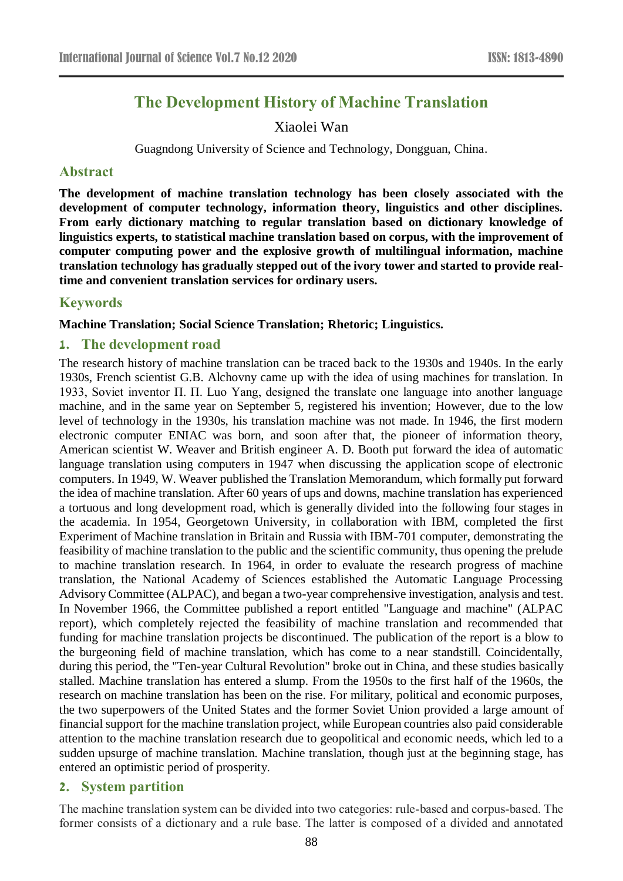# **The Development History of Machine Translation**

Xiaolei Wan

Guagndong University of Science and Technology, Dongguan, China.

#### **Abstract**

**The development of machine translation technology has been closely associated with the development of computer technology, information theory, linguistics and other disciplines. From early dictionary matching to regular translation based on dictionary knowledge of linguistics experts, to statistical machine translation based on corpus, with the improvement of computer computing power and the explosive growth of multilingual information, machine translation technology has gradually stepped out of the ivory tower and started to provide realtime and convenient translation services for ordinary users.**

# **Keywords**

#### **Machine Translation; Social Science Translation; Rhetoric; Linguistics.**

#### **1. The development road**

The research history of machine translation can be traced back to the 1930s and 1940s. In the early 1930s, French scientist G.B. Alchovny came up with the idea of using machines for translation. In 1933, Soviet inventor П. П. Luo Yang, designed the translate one language into another language machine, and in the same year on September 5, registered his invention; However, due to the low level of technology in the 1930s, his translation machine was not made. In 1946, the first modern electronic computer ENIAC was born, and soon after that, the pioneer of information theory, American scientist W. Weaver and British engineer A. D. Booth put forward the idea of automatic language translation using computers in 1947 when discussing the application scope of electronic computers. In 1949, W. Weaver published the Translation Memorandum, which formally put forward the idea of machine translation. After 60 years of ups and downs, machine translation has experienced a tortuous and long development road, which is generally divided into the following four stages in the academia. In 1954, Georgetown University, in collaboration with IBM, completed the first Experiment of Machine translation in Britain and Russia with IBM-701 computer, demonstrating the feasibility of machine translation to the public and the scientific community, thus opening the prelude to machine translation research. In 1964, in order to evaluate the research progress of machine translation, the National Academy of Sciences established the Automatic Language Processing Advisory Committee (ALPAC), and began a two-year comprehensive investigation, analysis and test. In November 1966, the Committee published a report entitled "Language and machine" (ALPAC report), which completely rejected the feasibility of machine translation and recommended that funding for machine translation projects be discontinued. The publication of the report is a blow to the burgeoning field of machine translation, which has come to a near standstill. Coincidentally, during this period, the "Ten-year Cultural Revolution" broke out in China, and these studies basically stalled. Machine translation has entered a slump. From the 1950s to the first half of the 1960s, the research on machine translation has been on the rise. For military, political and economic purposes, the two superpowers of the United States and the former Soviet Union provided a large amount of financial support for the machine translation project, while European countries also paid considerable attention to the machine translation research due to geopolitical and economic needs, which led to a sudden upsurge of machine translation. Machine translation, though just at the beginning stage, has entered an optimistic period of prosperity.

## **2. System partition**

The machine translation system can be divided into two categories: rule-based and corpus-based. The former consists of a dictionary and a rule base. The latter is composed of a divided and annotated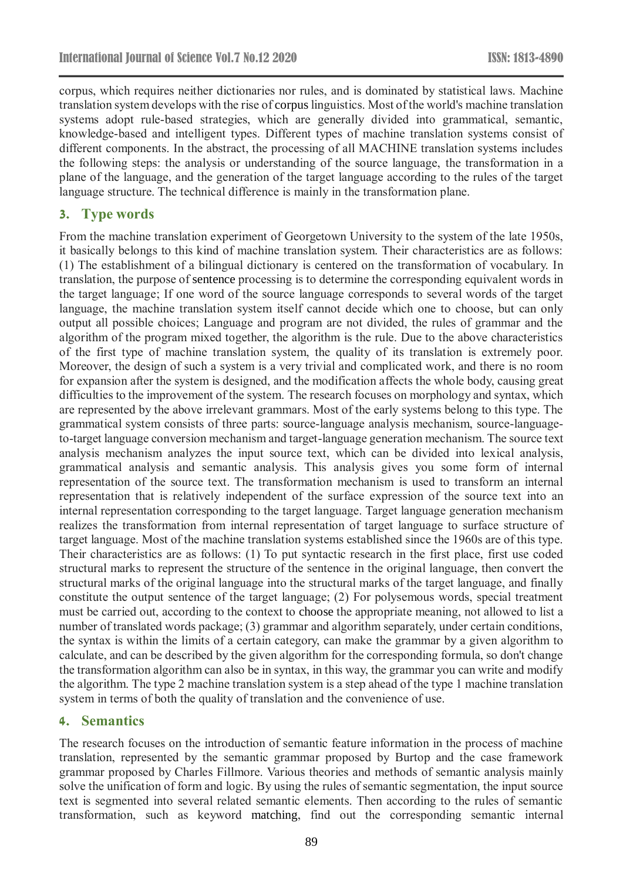corpus, which requires neither dictionaries nor rules, and is dominated by statistical laws. Machine translation system develops with the rise of corpus linguistics. Most of the world's machine translation systems adopt rule-based strategies, which are generally divided into grammatical, semantic, knowledge-based and intelligent types. Different types of machine translation systems consist of different components. In the abstract, the processing of all MACHINE translation systems includes the following steps: the analysis or understanding of the source language, the transformation in a plane of the language, and the generation of the target language according to the rules of the target language structure. The technical difference is mainly in the transformation plane.

#### **3. Type words**

From the machine translation experiment of Georgetown University to the system of the late 1950s, it basically belongs to this kind of machine translation system. Their characteristics are as follows: (1) The establishment of a bilingual dictionary is centered on the transformation of vocabulary. In translation, the purpose of sentence processing is to determine the corresponding equivalent words in the target language; If one word of the source language corresponds to several words of the target language, the machine translation system itself cannot decide which one to choose, but can only output all possible choices; Language and program are not divided, the rules of grammar and the algorithm of the program mixed together, the algorithm is the rule. Due to the above characteristics of the first type of machine translation system, the quality of its translation is extremely poor. Moreover, the design of such a system is a very trivial and complicated work, and there is no room for expansion after the system is designed, and the modification affects the whole body, causing great difficulties to the improvement of the system. The research focuses on morphology and syntax, which are represented by the above irrelevant grammars. Most of the early systems belong to this type. The grammatical system consists of three parts: source-language analysis mechanism, source-languageto-target language conversion mechanism and target-language generation mechanism. The source text analysis mechanism analyzes the input source text, which can be divided into lexical analysis, grammatical analysis and semantic analysis. This analysis gives you some form of internal representation of the source text. The transformation mechanism is used to transform an internal representation that is relatively independent of the surface expression of the source text into an internal representation corresponding to the target language. Target language generation mechanism realizes the transformation from internal representation of target language to surface structure of target language. Most of the machine translation systems established since the 1960s are of this type. Their characteristics are as follows: (1) To put syntactic research in the first place, first use coded structural marks to represent the structure of the sentence in the original language, then convert the structural marks of the original language into the structural marks of the target language, and finally constitute the output sentence of the target language; (2) For polysemous words, special treatment must be carried out, according to the context to choose the appropriate meaning, not allowed to list a number of translated words package; (3) grammar and algorithm separately, under certain conditions, the syntax is within the limits of a certain category, can make the grammar by a given algorithm to calculate, and can be described by the given algorithm for the corresponding formula, so don't change the transformation algorithm can also be in syntax, in this way, the grammar you can write and modify the algorithm. The type 2 machine translation system is a step ahead of the type 1 machine translation system in terms of both the quality of translation and the convenience of use.

#### **4. Semantics**

The research focuses on the introduction of semantic feature information in the process of machine translation, represented by the semantic grammar proposed by Burtop and the case framework grammar proposed by Charles Fillmore. Various theories and methods of semantic analysis mainly solve the unification of form and logic. By using the rules of semantic segmentation, the input source text is segmented into several related semantic elements. Then according to the rules of semantic transformation, such as keyword matching, find out the corresponding semantic internal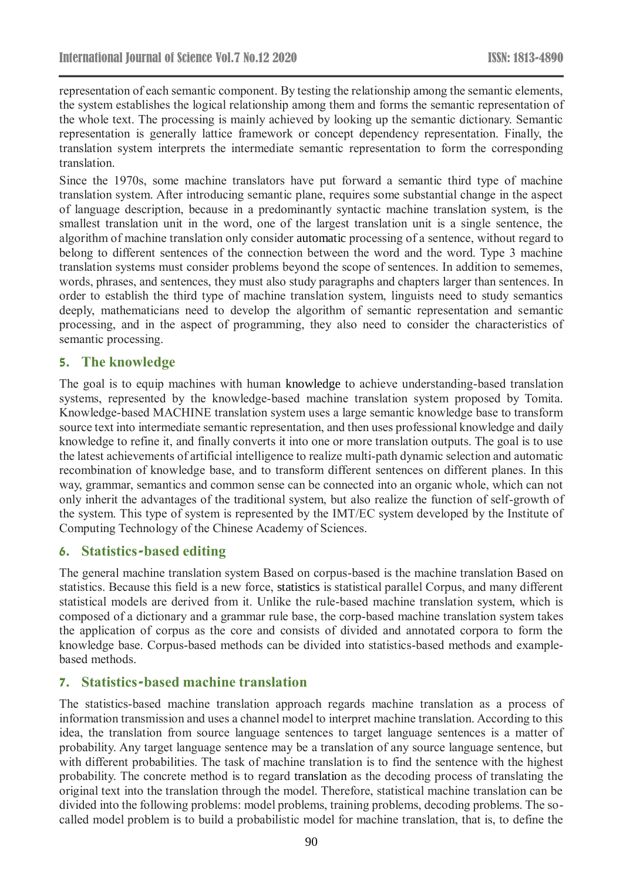representation of each semantic component. By testing the relationship among the semantic elements, the system establishes the logical relationship among them and forms the semantic representation of the whole text. The processing is mainly achieved by looking up the semantic dictionary. Semantic representation is generally lattice framework or concept dependency representation. Finally, the translation system interprets the intermediate semantic representation to form the corresponding translation.

Since the 1970s, some machine translators have put forward a semantic third type of machine translation system. After introducing semantic plane, requires some substantial change in the aspect of language description, because in a predominantly syntactic machine translation system, is the smallest translation unit in the word, one of the largest translation unit is a single sentence, the algorithm of machine translation only consider automatic processing of a sentence, without regard to belong to different sentences of the connection between the word and the word. Type 3 machine translation systems must consider problems beyond the scope of sentences. In addition to sememes, words, phrases, and sentences, they must also study paragraphs and chapters larger than sentences. In order to establish the third type of machine translation system, linguists need to study semantics deeply, mathematicians need to develop the algorithm of semantic representation and semantic processing, and in the aspect of programming, they also need to consider the characteristics of semantic processing.

## **5. The knowledge**

The goal is to equip machines with human knowledge to achieve understanding-based translation systems, represented by the knowledge-based machine translation system proposed by Tomita. Knowledge-based MACHINE translation system uses a large semantic knowledge base to transform source text into intermediate semantic representation, and then uses professional knowledge and daily knowledge to refine it, and finally converts it into one or more translation outputs. The goal is to use the latest achievements of artificial intelligence to realize multi-path dynamic selection and automatic recombination of knowledge base, and to transform different sentences on different planes. In this way, grammar, semantics and common sense can be connected into an organic whole, which can not only inherit the advantages of the traditional system, but also realize the function of self-growth of the system. This type of system is represented by the IMT/EC system developed by the Institute of Computing Technology of the Chinese Academy of Sciences.

## **6. Statistics-based editing**

The general machine translation system Based on corpus-based is the machine translation Based on statistics. Because this field is a new force, statistics is statistical parallel Corpus, and many different statistical models are derived from it. Unlike the rule-based machine translation system, which is composed of a dictionary and a grammar rule base, the corp-based machine translation system takes the application of corpus as the core and consists of divided and annotated corpora to form the knowledge base. Corpus-based methods can be divided into statistics-based methods and examplebased methods.

#### **7. Statistics-based machine translation**

The statistics-based machine translation approach regards machine translation as a process of information transmission and uses a channel model to interpret machine translation. According to this idea, the translation from source language sentences to target language sentences is a matter of probability. Any target language sentence may be a translation of any source language sentence, but with different probabilities. The task of machine translation is to find the sentence with the highest probability. The concrete method is to regard translation as the decoding process of translating the original text into the translation through the model. Therefore, statistical machine translation can be divided into the following problems: model problems, training problems, decoding problems. The socalled model problem is to build a probabilistic model for machine translation, that is, to define the